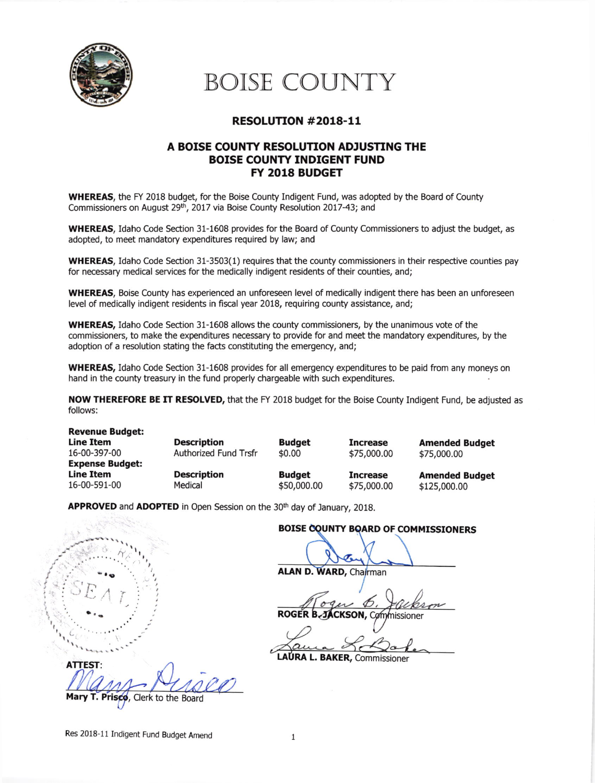

# BOISE COUNTY

## RESOLUTTON #2018-11

## A BOISE COUNTY RESOLUTION ADJUSTING THE BOISE COUNTY INDIGENT FUND FY 2018 BUDGET

WHEREAS, the FY 2018 budget, for the Boise County Indigent Fund, was adopted by the Board of County Commissioners on August 29<sup>th</sup>, 2017 via Boise County Resolution 2017-43; and

wHEREAS, Idaho Code Section 31-1608 provides for the Board of County Commissioners to adjust the budget, as adopted, to meet mandatory expenditures required by law; and

WHEREAS, Idaho Code Section 31-3503(1) requires that the county commissioners in their respective counties pay for necessary medical services for the medically indigent residents of their counties, and;

WHEREAS. Boise County has experienced an unforeseen level of medically indigent there has been an unforeseen level of medically indigent residents in fiscal year 2018, requiring county assistance, and;

WHEREAS, Idaho Code Section 31-1608 allows the county commissioners, by the unanimous vote of the commissioners, to make the expenditures necessary to provide for and meet the mandatory expenditures, by the adoption of a resolution stating the facts constituting the emergency, and;

WHEREAS, Idaho Code Section 31-1608 provides for all emergency expenditures to be paid from any moneys on hand in the county treasury in the fund properly chargeable with such expenditures.

\$0.00

NOW THEREFORE BE IT RESOLVED, that the FY 2018 budget for the Boise County Indigent Fund, be adjusted as follows:

**Revenue Budget: Line Item** 16-00-397-00 Expense Budget: Line Item 16-00-591-00

tr

 $\frac{1}{2}$ 

I

)<br>P

**Description** Authorized Fund Trsfr Description Medical

Budget Increase Budget \$s0,000.00

\$7s,000.00 Increase \$75,000.00 Amended Budget \$7s,000.00

Amended Budget \$12s,000.00

APPROVED and ADOPTED in Open Session on the 30<sup>th</sup> day of January, 2018.

#### BOISE COUNTY BOARD OF COMMISSIONERS

**ALAN D. WARD, Chairman** 

**ROGFR** CKSON, Commissioner

LAURA L. BAKER, Commissioner

**ATTEST** risco, Clerk to the Board

Res 2018-11 Indigent Fund Budget Amend